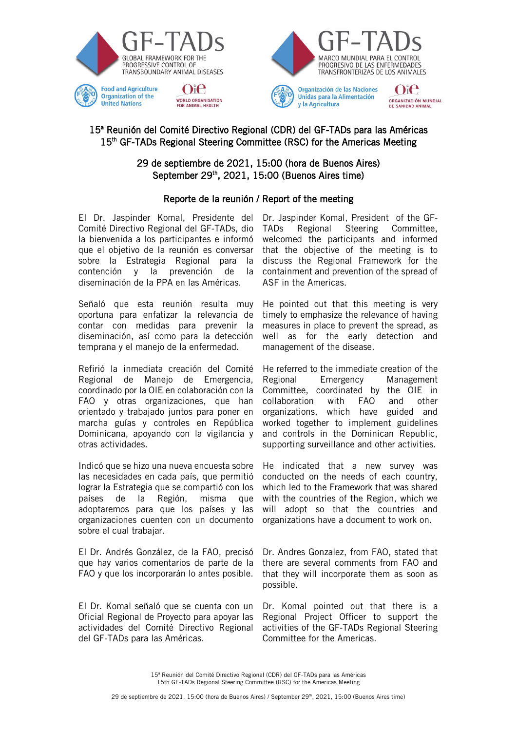



DE SANIDAD ANIMAL

v la Agricultura

# 15ª Reunión del Comité Directivo Regional (CDR) del GF-TADs para las Américas 15<sup>th</sup> GF-TADs Regional Steering Committee (RSC) for the Americas Meeting

# 29 de septiembre de 2021, 15:00 (hora de Buenos Aires) September 29<sup>th</sup>, 2021, 15:00 (Buenos Aires time)

# Reporte de la reunión / Report of the meeting

El Dr. Jaspinder Komal, Presidente del Comité Directivo Regional del GF-TADs, dio la bienvenida a los participantes e informó que el objetivo de la reunión es conversar sobre la Estrategia Regional para la contención y la prevención de la diseminación de la PPA en las Américas.

Señaló que esta reunión resulta muy oportuna para enfatizar la relevancia de contar con medidas para prevenir la diseminación, así como para la detección temprana y el manejo de la enfermedad.

Refirió la inmediata creación del Comité Regional de Manejo de Emergencia, coordinado por la OIE en colaboración con la FAO y otras organizaciones, que han orientado y trabajado juntos para poner en marcha guías y controles en República Dominicana, apoyando con la vigilancia y otras actividades.

Indicó que se hizo una nueva encuesta sobre las necesidades en cada país, que permitió lograr la Estrategia que se compartió con los países de la Región, misma que adoptaremos para que los países y las organizaciones cuenten con un documento sobre el cual trabajar.

El Dr. Andrés González, de la FAO, precisó que hay varios comentarios de parte de la FAO y que los incorporarán lo antes posible.

El Dr. Komal señaló que se cuenta con un Oficial Regional de Proyecto para apoyar las actividades del Comité Directivo Regional del GF-TADs para las Américas.

Dr. Jaspinder Komal, President of the GF-TADs Regional Steering Committee, welcomed the participants and informed that the objective of the meeting is to discuss the Regional Framework for the containment and prevention of the spread of ASF in the Americas.

He pointed out that this meeting is very timely to emphasize the relevance of having measures in place to prevent the spread, as well as for the early detection and management of the disease.

He referred to the immediate creation of the Regional Emergency Management Committee, coordinated by the OIE in collaboration with FAO and other organizations, which have guided and worked together to implement guidelines and controls in the Dominican Republic, supporting surveillance and other activities.

He indicated that a new survey was conducted on the needs of each country, which led to the Framework that was shared with the countries of the Region, which we will adopt so that the countries and organizations have a document to work on.

Dr. Andres Gonzalez, from FAO, stated that there are several comments from FAO and that they will incorporate them as soon as possible.

Dr. Komal pointed out that there is a Regional Project Officer to support the activities of the GF-TADs Regional Steering Committee for the Americas.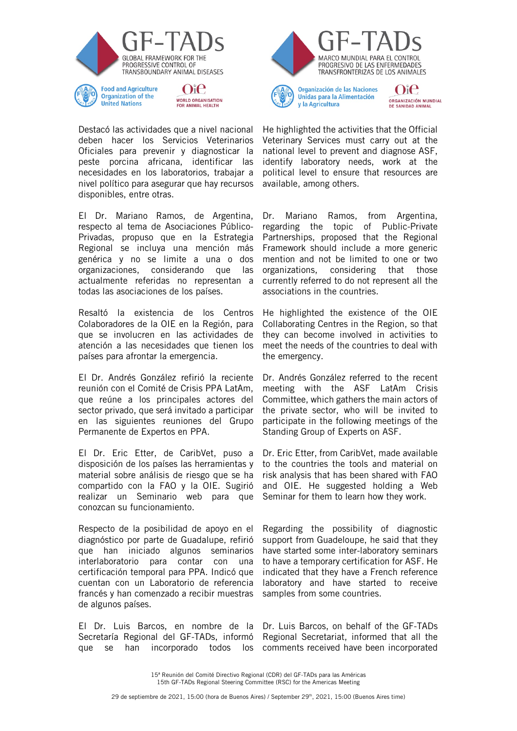

**United Nations** 



**WORLD ORGANISATION** 

**FOR ANIMAL HEALTH** 

El Dr. Mariano Ramos, de Argentina, respecto al tema de Asociaciones Público-Privadas, propuso que en la Estrategia Regional se incluya una mención más genérica y no se limite a una o dos organizaciones, considerando que las actualmente referidas no representan a todas las asociaciones de los países.

Resaltó la existencia de los Centros Colaboradores de la OIE en la Región, para que se involucren en las actividades de atención a las necesidades que tienen los países para afrontar la emergencia.

El Dr. Andrés González refirió la reciente reunión con el Comité de Crisis PPA LatAm, que reúne a los principales actores del sector privado, que será invitado a participar en las siguientes reuniones del Grupo Permanente de Expertos en PPA.

El Dr. Eric Etter, de CaribVet, puso a disposición de los países las herramientas y material sobre análisis de riesgo que se ha compartido con la FAO y la OIE. Sugirió realizar un Seminario web para que conozcan su funcionamiento.

Respecto de la posibilidad de apoyo en el diagnóstico por parte de Guadalupe, refirió que han iniciado algunos seminarios interlaboratorio para contar con una certificación temporal para PPA. Indicó que cuentan con un Laboratorio de referencia francés y han comenzado a recibir muestras de algunos países.

El Dr. Luis Barcos, en nombre de la Secretaría Regional del GF-TADs, informó que se han incorporado todos los



Organización de las Naciones Unidas para la Alimentación v la Agricultura

Oie ORGANIZACIÓN MUNDIAL DE SANIDAD ANIMAL

He highlighted the activities that the Official Veterinary Services must carry out at the national level to prevent and diagnose ASF, identify laboratory needs, work at the political level to ensure that resources are available, among others.

Dr. Mariano Ramos, from Argentina, regarding the topic of Public-Private Partnerships, proposed that the Regional Framework should include a more generic mention and not be limited to one or two organizations, considering that those currently referred to do not represent all the associations in the countries.

He highlighted the existence of the OIE Collaborating Centres in the Region, so that they can become involved in activities to meet the needs of the countries to deal with the emergency.

Dr. Andrés González referred to the recent meeting with the ASF LatAm Crisis Committee, which gathers the main actors of the private sector, who will be invited to participate in the following meetings of the Standing Group of Experts on ASF.

Dr. Eric Etter, from CaribVet, made available to the countries the tools and material on risk analysis that has been shared with FAO and OIE. He suggested holding a Web Seminar for them to learn how they work.

Regarding the possibility of diagnostic support from Guadeloupe, he said that they have started some inter-laboratory seminars to have a temporary certification for ASF. He indicated that they have a French reference laboratory and have started to receive samples from some countries.

Dr. Luis Barcos, on behalf of the GF-TADs Regional Secretariat, informed that all the comments received have been incorporated

15ª Reunión del Comité Directivo Regional (CDR) del GF-TADs para las Américas 15th GF-TADs Regional Steering Committee (RSC) for the Americas Meeting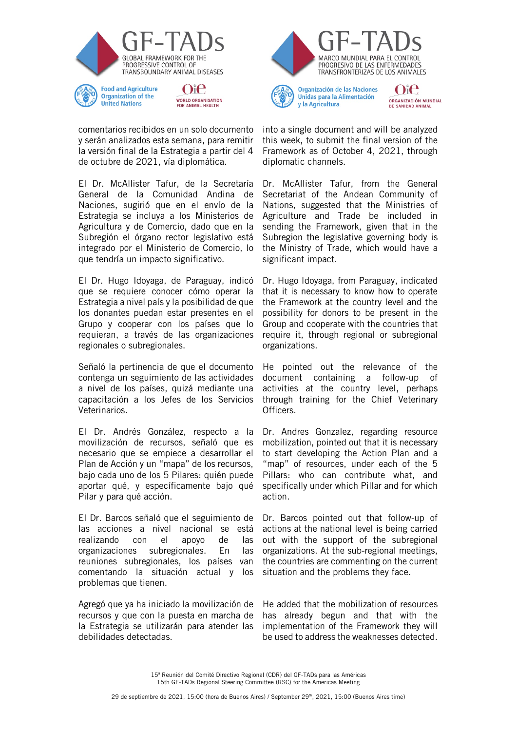

**Organization of the** 

**United Nations** 



comentarios recibidos en un solo documento y serán analizados esta semana, para remitir la versión final de la Estrategia a partir del 4 de octubre de 2021, vía diplomática.

El Dr. McAllister Tafur, de la Secretaría General de la Comunidad Andina de Naciones, sugirió que en el envío de la Estrategia se incluya a los Ministerios de Agricultura y de Comercio, dado que en la Subregión el órgano rector legislativo está integrado por el Ministerio de Comercio, lo que tendría un impacto significativo.

El Dr. Hugo Idoyaga, de Paraguay, indicó que se requiere conocer cómo operar la Estrategia a nivel país y la posibilidad de que los donantes puedan estar presentes en el Grupo y cooperar con los países que lo requieran, a través de las organizaciones regionales o subregionales.

Señaló la pertinencia de que el documento contenga un seguimiento de las actividades a nivel de los países, quizá mediante una capacitación a los Jefes de los Servicios Veterinarios.

El Dr. Andrés González, respecto a la movilización de recursos, señaló que es necesario que se empiece a desarrollar el Plan de Acción y un "mapa" de los recursos, bajo cada uno de los 5 Pilares: quién puede aportar qué, y específicamente bajo qué Pilar y para qué acción.

El Dr. Barcos señaló que el seguimiento de las acciones a nivel nacional se está realizando con el apoyo de las organizaciones subregionales. En las reuniones subregionales, los países van comentando la situación actual y los problemas que tienen.

Agregó que ya ha iniciado la movilización de recursos y que con la puesta en marcha de la Estrategia se utilizarán para atender las debilidades detectadas.



Organización de las Naciones Unidas para la Alimentación v la Agricultura

Oie ORGANIZACIÓN MUNDIAL DE SANIDAD ANIMAL

into a single document and will be analyzed this week, to submit the final version of the Framework as of October 4, 2021, through diplomatic channels.

Dr. McAllister Tafur, from the General Secretariat of the Andean Community of Nations, suggested that the Ministries of Agriculture and Trade be included in sending the Framework, given that in the Subregion the legislative governing body is the Ministry of Trade, which would have a significant impact.

Dr. Hugo Idoyaga, from Paraguay, indicated that it is necessary to know how to operate the Framework at the country level and the possibility for donors to be present in the Group and cooperate with the countries that require it, through regional or subregional organizations.

He pointed out the relevance of the document containing a follow-up of activities at the country level, perhaps through training for the Chief Veterinary Officers.

Dr. Andres Gonzalez, regarding resource mobilization, pointed out that it is necessary to start developing the Action Plan and a "map" of resources, under each of the 5 Pillars: who can contribute what, and specifically under which Pillar and for which action.

Dr. Barcos pointed out that follow-up of actions at the national level is being carried out with the support of the subregional organizations. At the sub-regional meetings, the countries are commenting on the current situation and the problems they face.

He added that the mobilization of resources has already begun and that with the implementation of the Framework they will be used to address the weaknesses detected.

15ª Reunión del Comité Directivo Regional (CDR) del GF-TADs para las Américas 15th GF-TADs Regional Steering Committee (RSC) for the Americas Meeting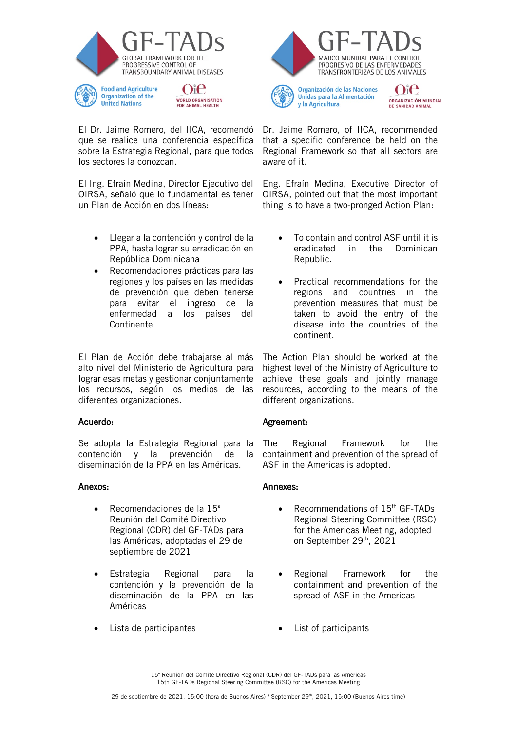

El Dr. Jaime Romero, del IICA, recomendó que se realice una conferencia específica sobre la Estrategia Regional, para que todos los sectores la conozcan.

El Ing. Efraín Medina, Director Ejecutivo del OIRSA, señaló que lo fundamental es tener un Plan de Acción en dos líneas:

- Llegar a la contención y control de la PPA, hasta lograr su erradicación en República Dominicana
- Recomendaciones prácticas para las regiones y los países en las medidas de prevención que deben tenerse para evitar el ingreso de la enfermedad a los países del Continente

El Plan de Acción debe trabajarse al más alto nivel del Ministerio de Agricultura para lograr esas metas y gestionar conjuntamente los recursos, según los medios de las diferentes organizaciones.

## Acuerdo:

Se adopta la Estrategia Regional para la contención y la prevención de la diseminación de la PPA en las Américas.

## Anexos:

- Recomendaciones de la 15ª Reunión del Comité Directivo Regional (CDR) del GF-TADs para las Américas, adoptadas el 29 de septiembre de 2021
- Estrategia Regional para la contención y la prevención de la diseminación de la PPA en las Américas
- 



Organización de las Naciones Unidas para la Alimentación v la Agricultura

Oie ORGANIZACIÓN MUNDIAL **DE SANIDAD ANIMAL** 

Dr. Jaime Romero, of IICA, recommended that a specific conference be held on the Regional Framework so that all sectors are aware of it.

Eng. Efraín Medina, Executive Director of OIRSA, pointed out that the most important thing is to have a two-pronged Action Plan:

- To contain and control ASF until it is eradicated in the Dominican Republic.
- Practical recommendations for the regions and countries in the prevention measures that must be taken to avoid the entry of the disease into the countries of the continent.

The Action Plan should be worked at the highest level of the Ministry of Agriculture to achieve these goals and jointly manage resources, according to the means of the different organizations.

# Agreement:

The Regional Framework for the containment and prevention of the spread of ASF in the Americas is adopted.

## Annexes:

- Recommendations of 15<sup>th</sup> GF-TADs Regional Steering Committee (RSC) for the Americas Meeting, adopted on September 29th, 2021
- Regional Framework for the containment and prevention of the spread of ASF in the Americas
- Lista de participantes **•** List of participants

15ª Reunión del Comité Directivo Regional (CDR) del GF-TADs para las Américas 15th GF-TADs Regional Steering Committee (RSC) for the Americas Meeting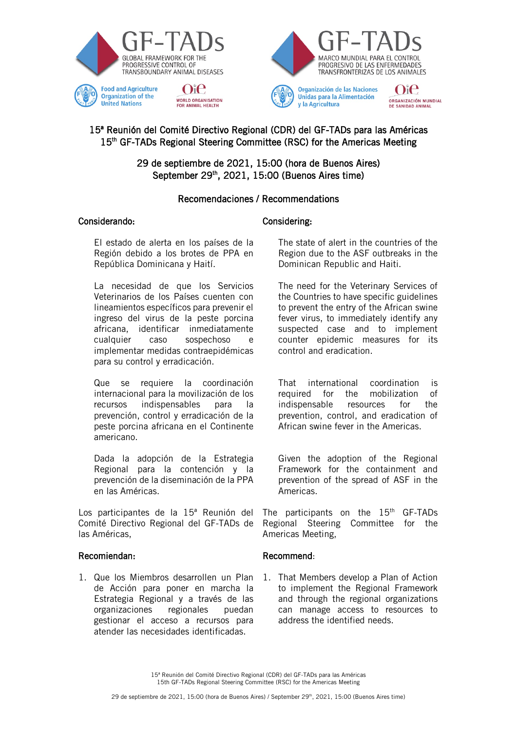



Organización de las Naciones Unidas para la Alimentación v la Agricultura

Oie ORGANIZACIÓN MUNDIAL DE SANIDAD ANIMAL

# 15ª Reunión del Comité Directivo Regional (CDR) del GF-TADs para las Américas 15<sup>th</sup> GF-TADs Regional Steering Committee (RSC) for the Americas Meeting

29 de septiembre de 2021, 15:00 (hora de Buenos Aires) September 29<sup>th</sup>, 2021, 15:00 (Buenos Aires time)

# Recomendaciones / Recommendations

## Considerando: Considering:

**United Nations** 

El estado de alerta en los países de la Región debido a los brotes de PPA en República Dominicana y Haití.

**WORLD ORGANISATION** 

**FOR ANIMAL HEALTH** 

La necesidad de que los Servicios Veterinarios de los Países cuenten con lineamientos específicos para prevenir el ingreso del virus de la peste porcina africana, identificar inmediatamente cualquier caso sospechoso e implementar medidas contraepidémicas para su control y erradicación.

Que se requiere la coordinación internacional para la movilización de los recursos indispensables para la prevención, control y erradicación de la peste porcina africana en el Continente americano.

Dada la adopción de la Estrategia Regional para la contención y la prevención de la diseminación de la PPA en las Américas.

Los participantes de la 15ª Reunión del Comité Directivo Regional del GF-TADs de las Américas,

## Recomiendan:

1. Que los Miembros desarrollen un Plan de Acción para poner en marcha la Estrategia Regional y a través de las organizaciones regionales puedan gestionar el acceso a recursos para atender las necesidades identificadas.

The state of alert in the countries of the Region due to the ASF outbreaks in the Dominican Republic and Haiti.

The need for the Veterinary Services of the Countries to have specific guidelines to prevent the entry of the African swine fever virus, to immediately identify any suspected case and to implement counter epidemic measures for its control and eradication.

That international coordination is required for the mobilization of indispensable resources for the prevention, control, and eradication of African swine fever in the Americas.

Given the adoption of the Regional Framework for the containment and prevention of the spread of ASF in the Americas.

The participants on the  $15<sup>th</sup>$  GF-TADs Regional Steering Committee for the Americas Meeting,

## Recommend:

1. That Members develop a Plan of Action to implement the Regional Framework and through the regional organizations can manage access to resources to address the identified needs.